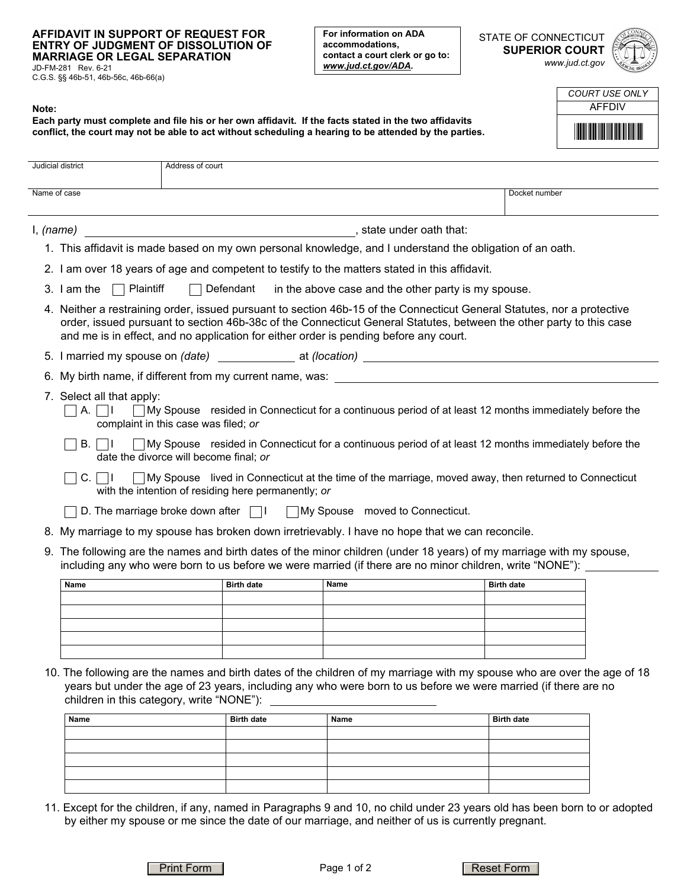## **AFFIDAVIT IN SUPPORT OF REQUEST FOR ENTRY OF JUDGMENT OF DISSOLUTION OF MARRIAGE OR LEGAL SEPARATION**

**Each party must complete and file his or her own affidavit. If the facts stated in the two affidavits conflict, the court may not be able to act without scheduling a hearing to be attended by the parties.**

JD-FM-281 Rev. 6-21 C.G.S. §§ 46b-51, 46b-56c, 46b-66(a)

**Note:** 

**For information on ADA accommodations, contact a court clerk or go to:**  *www.jud.ct.gov/ADA.*

STATE OF CONNECTICUT **SUPERIOR COURT**  *www.jud.ct.gov*



| COURT USE ONLY                    |
|-----------------------------------|
| <b>AFFDIV</b>                     |
| <u> III Martin Martin Martin </u> |

|                                                                                                                                                                                                                                  |                                                                                                                                                                                                                                                                                                                                         | Judicial district                     | Address of court                                                                               |             |                   |  |
|----------------------------------------------------------------------------------------------------------------------------------------------------------------------------------------------------------------------------------|-----------------------------------------------------------------------------------------------------------------------------------------------------------------------------------------------------------------------------------------------------------------------------------------------------------------------------------------|---------------------------------------|------------------------------------------------------------------------------------------------|-------------|-------------------|--|
|                                                                                                                                                                                                                                  |                                                                                                                                                                                                                                                                                                                                         | Name of case                          |                                                                                                |             | Docket number     |  |
|                                                                                                                                                                                                                                  |                                                                                                                                                                                                                                                                                                                                         |                                       |                                                                                                |             |                   |  |
|                                                                                                                                                                                                                                  |                                                                                                                                                                                                                                                                                                                                         | I, (name)<br>, state under oath that: |                                                                                                |             |                   |  |
| 1. This affidavit is made based on my own personal knowledge, and I understand the obligation of an oath.                                                                                                                        |                                                                                                                                                                                                                                                                                                                                         |                                       |                                                                                                |             |                   |  |
|                                                                                                                                                                                                                                  |                                                                                                                                                                                                                                                                                                                                         |                                       | 2. I am over 18 years of age and competent to testify to the matters stated in this affidavit. |             |                   |  |
| 3. I am the $\Box$ Plaintiff<br>Defendant<br>in the above case and the other party is my spouse.                                                                                                                                 |                                                                                                                                                                                                                                                                                                                                         |                                       |                                                                                                |             |                   |  |
|                                                                                                                                                                                                                                  | 4. Neither a restraining order, issued pursuant to section 46b-15 of the Connecticut General Statutes, nor a protective<br>order, issued pursuant to section 46b-38c of the Connecticut General Statutes, between the other party to this case<br>and me is in effect, and no application for either order is pending before any court. |                                       |                                                                                                |             |                   |  |
|                                                                                                                                                                                                                                  |                                                                                                                                                                                                                                                                                                                                         |                                       |                                                                                                |             |                   |  |
|                                                                                                                                                                                                                                  | 6. My birth name, if different from my current name, was: _______________________                                                                                                                                                                                                                                                       |                                       |                                                                                                |             |                   |  |
| 7. Select all that apply:<br>□ My Spouse resided in Connecticut for a continuous period of at least 12 months immediately before the<br>$A. \perp \perp \perp$<br>complaint in this case was filed; or                           |                                                                                                                                                                                                                                                                                                                                         |                                       |                                                                                                |             |                   |  |
| $\Box$ My Spouse resided in Connecticut for a continuous period of at least 12 months immediately before the<br>B. I<br>$\Box$<br>date the divorce will become final; or                                                         |                                                                                                                                                                                                                                                                                                                                         |                                       |                                                                                                |             |                   |  |
| My Spouse lived in Connecticut at the time of the marriage, moved away, then returned to Connecticut<br>C.<br>- 11<br>with the intention of residing here permanently; or                                                        |                                                                                                                                                                                                                                                                                                                                         |                                       |                                                                                                |             |                   |  |
|                                                                                                                                                                                                                                  |                                                                                                                                                                                                                                                                                                                                         |                                       | D. The marriage broke down after           My Spouse moved to Connecticut.                     |             |                   |  |
|                                                                                                                                                                                                                                  | 8.                                                                                                                                                                                                                                                                                                                                      |                                       | My marriage to my spouse has broken down irretrievably. I have no hope that we can reconcile.  |             |                   |  |
| 9. The following are the names and birth dates of the minor children (under 18 years) of my marriage with my spouse,<br>including any who were born to us before we were married (if there are no minor children, write "NONE"): |                                                                                                                                                                                                                                                                                                                                         |                                       |                                                                                                |             |                   |  |
|                                                                                                                                                                                                                                  |                                                                                                                                                                                                                                                                                                                                         | Name                                  | <b>Birth date</b>                                                                              | <b>Name</b> | <b>Birth date</b> |  |
|                                                                                                                                                                                                                                  |                                                                                                                                                                                                                                                                                                                                         |                                       |                                                                                                |             |                   |  |
|                                                                                                                                                                                                                                  |                                                                                                                                                                                                                                                                                                                                         |                                       |                                                                                                |             |                   |  |
|                                                                                                                                                                                                                                  |                                                                                                                                                                                                                                                                                                                                         |                                       |                                                                                                |             |                   |  |
|                                                                                                                                                                                                                                  |                                                                                                                                                                                                                                                                                                                                         |                                       |                                                                                                |             |                   |  |

10. The following are the names and birth dates of the children of my marriage with my spouse who are over the age of 18 years but under the age of 23 years, including any who were born to us before we were married (if there are no children in this category, write "NONE"):

| Name | <b>Birth date</b> | Name | <b>Birth date</b> |
|------|-------------------|------|-------------------|
|      |                   |      |                   |
|      |                   |      |                   |
|      |                   |      |                   |
|      |                   |      |                   |
|      |                   |      |                   |

11. Except for the children, if any, named in Paragraphs 9 and 10, no child under 23 years old has been born to or adopted by either my spouse or me since the date of our marriage, and neither of us is currently pregnant.